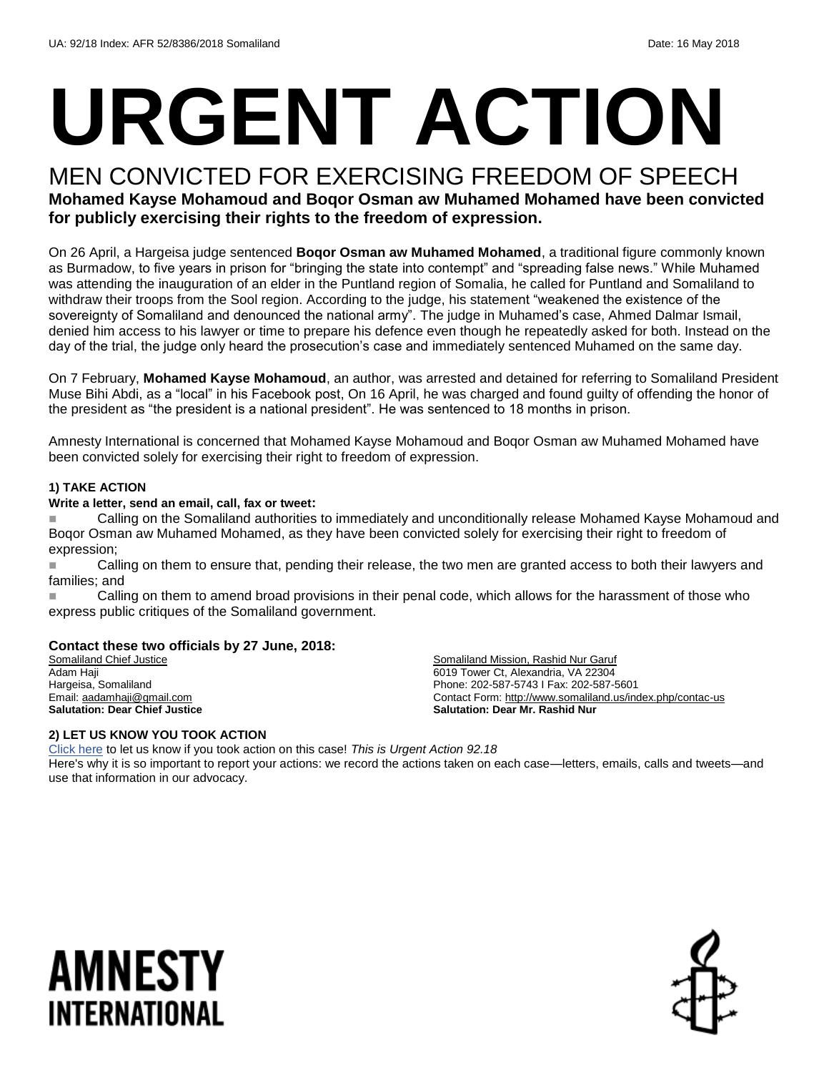# **URGENT ACTION**

# MEN CONVICTED FOR EXERCISING FREEDOM OF SPEECH

### **Mohamed Kayse Mohamoud and Boqor Osman aw Muhamed Mohamed have been convicted for publicly exercising their rights to the freedom of expression.**

On 26 April, a Hargeisa judge sentenced **Boqor Osman aw Muhamed Mohamed**, a traditional figure commonly known as Burmadow, to five years in prison for "bringing the state into contempt" and "spreading false news." While Muhamed was attending the inauguration of an elder in the Puntland region of Somalia, he called for Puntland and Somaliland to withdraw their troops from the Sool region. According to the judge, his statement "weakened the existence of the sovereignty of Somaliland and denounced the national army". The judge in Muhamed's case, Ahmed Dalmar Ismail, denied him access to his lawyer or time to prepare his defence even though he repeatedly asked for both. Instead on the day of the trial, the judge only heard the prosecution's case and immediately sentenced Muhamed on the same day.

On 7 February, **Mohamed Kayse Mohamoud**, an author, was arrested and detained for referring to Somaliland President Muse Bihi Abdi, as a "local" in his Facebook post, On 16 April, he was charged and found guilty of offending the honor of the president as "the president is a national president". He was sentenced to 18 months in prison.

Amnesty International is concerned that Mohamed Kayse Mohamoud and Boqor Osman aw Muhamed Mohamed have been convicted solely for exercising their right to freedom of expression.

#### **1) TAKE ACTION**

#### **Write a letter, send an email, call, fax or tweet:**

 Calling on the Somaliland authorities to immediately and unconditionally release Mohamed Kayse Mohamoud and Boqor Osman aw Muhamed Mohamed, as they have been convicted solely for exercising their right to freedom of expression;

Calling on them to ensure that, pending their release, the two men are granted access to both their lawyers and families; and

**Calling on them to amend broad provisions in their penal code, which allows for the harassment of those who** express public critiques of the Somaliland government.

#### **Contact these two officials by 27 June, 2018:**

Somaliland Chief Justice Adam Haji Hargeisa, Somaliland Email[: aadamhaji@gmail.com](mailto:aadamhaji@gmail.com) **Salutation: Dear Chief Justice**

Somaliland Mission, Rashid Nur Garuf 6019 Tower Ct, Alexandria, VA 22304 Phone: 202-587-5743 I Fax: 202-587-5601 Contact Form:<http://www.somaliland.us/index.php/contac-us> **Salutation: Dear Mr. Rashid Nur**

#### **2) LET US KNOW YOU TOOK ACTION**

[Click here](https://www.amnestyusa.org/report-urgent-actions/) to let us know if you took action on this case! *This is Urgent Action 92.18* Here's why it is so important to report your actions: we record the actions taken on each case—letters, emails, calls and tweets—and use that information in our advocacy.